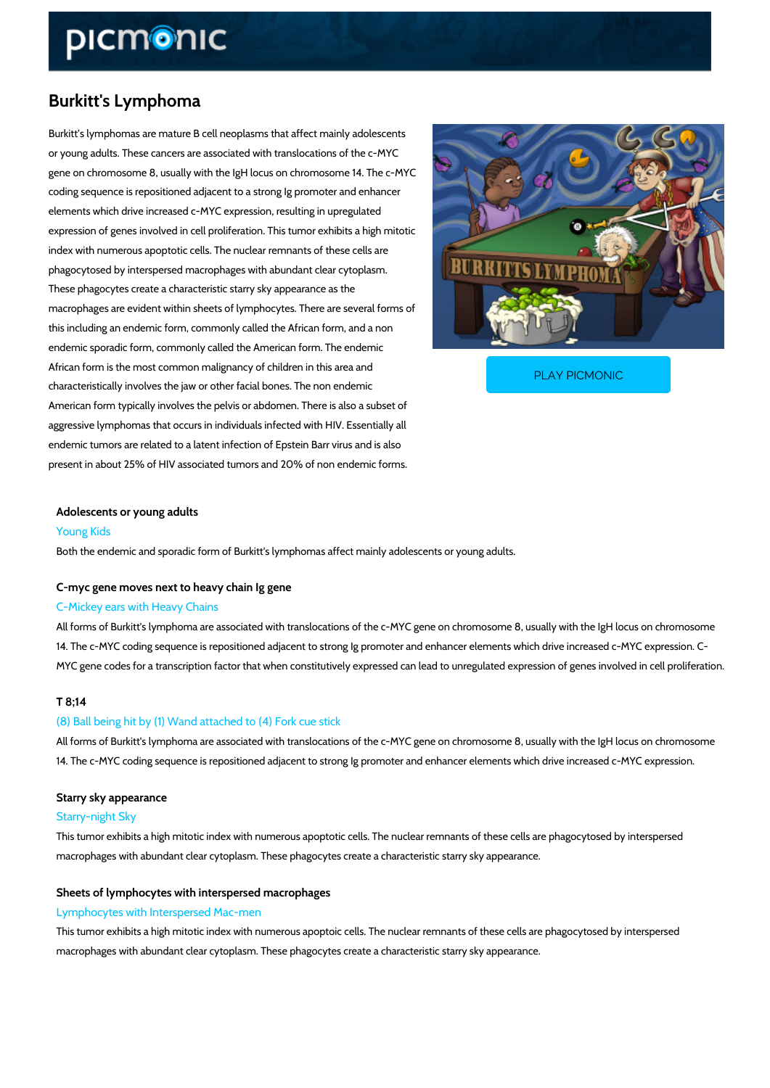# Burkitt's Lymphoma

Burkitt s lymphomas are mature B cell neoplasms that affect mainly adolescents or young adults. These cancers are associated with translocations of the c-MYC gene on chromosome 8, usually with the IgH locus on chromosome 14. The c-MYC coding sequence is repositioned adjacent to a strong Ig promoter and enhancer elements which drive increased c-MYC expression, resulting in upregulated expression of genes involved in cell proliferation. This tumor exhibits a high mitotic index with numerous apoptotic cells. The nuclear remnants of these cells are phagocytosed by interspersed macrophages with abundant clear cytoplasm. These phagocytes create a characteristic starry sky appearance as the macrophages are evident within sheets of lymphocytes. There are several forms of this including an endemic form, commonly called the African form, and a non endemic sporadic form, commonly called the American form. The endemic

African form is the most common malignancy of children in characteristically involves the jaw or other facial bones.

[PLAY PICMONIC](https://www.picmonic.com/learn/burkitts-lymphoma_380?utm_source=downloadable_content&utm_medium=distributedcontent&utm_campaign=pathways_pdf&utm_content=Burkitt)

American form typically involves the pelvis or abdomen. There is also a subset of aggressive lymphomas that occurs in individuals infected with HIV. Essentially all endemic tumors are related to a latent infection of Epstein Barr virus and is also present in about 25% of HIV associated tumors and 20% of non endemic forms.

Adolescents or young adults Young Kids Both the endemic and sporadic form of Burkitt's lymphomas affect mainly adolescents or young

### C-myc gene moves next to heavy chain Ig gene

#### C-Mickey ears with Heavy Chains

All forms of Burkitt's lymphoma are associated with translocations of the c-MYC gene on chromosome 8, and Ight locus on chromosome 8, usually with the Ight and Ight and Ight locus on the Ight locus on the Ight locus on chr 14. The c-MYC coding sequence is repositioned adjacent to strong Ig promoter and enhancer  $\epsilon$ MYC gene codes for a transcription factor that when constitutively expressed can lead to unre

#### T 8;14

#### (8) Ball being hit by (1) Wand attached to (4) Fork cue stick

All forms of Burkitt's lymphoma are associated with translocations of the c-MYC gene on chromosome 8, usually 14. The c-MYC coding sequence is repositioned adjacent to strong Ig promoter and enhancer  $\epsilon$ 

## Starry sky appearance Starry-night Sky

This tumor exhibits a high mitotic index with numerous apoptotic cells. The nuclear remnants macrophages with abundant clear cytoplasm. These phagocytes create a characteristic starry

# Sheets of lymphocytes with interspersed macrophages

#### Lymphocytes with Interspersed Mac-men

This tumor exhibits a high mitotic index with numerous apoptoic cells. The nuclear remnants c macrophages with abundant clear cytoplasm. These phagocytes create a characteristic starry